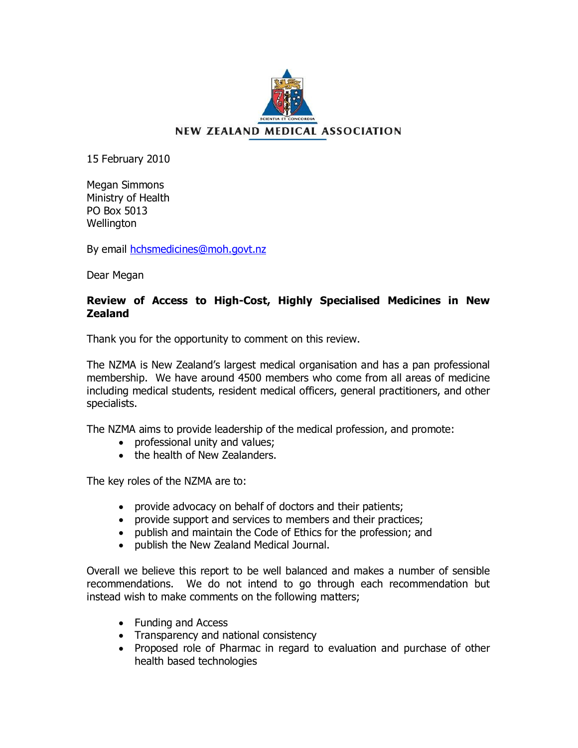

15 February 2010

Megan Simmons Ministry of Health PO Box 5013 **Wellington** 

By email hchsmedicines@moh.govt.nz

Dear Megan

# **Review of Access to High-Cost, Highly Specialised Medicines in New Zealand**

Thank you for the opportunity to comment on this review.

The NZMA is New Zealand's largest medical organisation and has a pan professional membership. We have around 4500 members who come from all areas of medicine including medical students, resident medical officers, general practitioners, and other specialists.

The NZMA aims to provide leadership of the medical profession, and promote:

- · professional unity and values;
- the health of New Zealanders.

The key roles of the NZMA are to:

- · provide advocacy on behalf of doctors and their patients;
- · provide support and services to members and their practices;
- · publish and maintain the Code of Ethics for the profession; and
- · publish the New Zealand Medical Journal.

Overall we believe this report to be well balanced and makes a number of sensible recommendations. We do not intend to go through each recommendation but instead wish to make comments on the following matters;

- · Funding and Access
- · Transparency and national consistency
- · Proposed role of Pharmac in regard to evaluation and purchase of other health based technologies